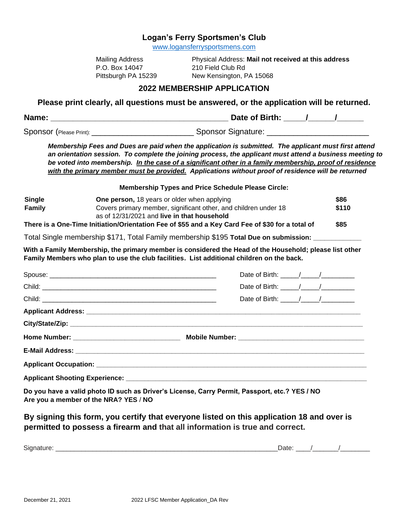## **Logan's Ferry Sportsmen's Club**

[www.logansferrysportsmens.com](http://www.logansferrysportsmens.com/)

| Mailing Address     |
|---------------------|
| P.O. Box 14047      |
| Pittsburgh PA 15239 |

Physical Address: Mail not received at this address 210 Field Club Rd 9 New Kensington, PA 15068

## **2022 MEMBERSHIP APPLICATION**

**Please print clearly, all questions must be answered, or the application will be returned.**

| Name: | Date of Birth: |  |
|-------|----------------|--|
|       |                |  |

Sponsor (Please Print): \_\_\_\_\_\_\_\_\_\_\_\_\_\_\_\_\_\_\_\_\_\_\_ Sponsor Signature: \_\_\_\_\_\_\_\_\_\_\_\_\_\_\_\_\_\_\_\_\_\_\_

*Membership Fees and Dues are paid when the application is submitted. The applicant must first attend an orientation session. To complete the joining process, the applicant must attend a business meeting to be voted into membership. In the case of a significant other in a family membership, proof of residence with the primary member must be provided. Applications without proof of residence will be returned* 

**Membership Types and Price Schedule Please Circle:**

| <b>Single</b> | <b>One person, 18 years or older when applying</b>                                               | \$86  |
|---------------|--------------------------------------------------------------------------------------------------|-------|
| <b>Family</b> | Covers primary member, significant other, and children under 18                                  | \$110 |
|               | as of 12/31/2021 and live in that household                                                      |       |
|               | There is a One-Time Initiation/Orientation Fee of \$55 and a Key Card Fee of \$30 for a total of | \$85  |
|               |                                                                                                  |       |

Total Single membership \$171, Total Family membership \$195 **Total Due on submission: \_\_\_\_\_\_\_\_\_\_\_\_\_** 

**With a Family Membership, the primary member is considered the Head of the Household; please list other Family Members who plan to use the club facilities. List additional children on the back.**

| Date of Birth: $\frac{1}{2}$ $\frac{1}{2}$ $\frac{1}{2}$ $\frac{1}{2}$ $\frac{1}{2}$ $\frac{1}{2}$ $\frac{1}{2}$ $\frac{1}{2}$ $\frac{1}{2}$ $\frac{1}{2}$ $\frac{1}{2}$ $\frac{1}{2}$ $\frac{1}{2}$ $\frac{1}{2}$ $\frac{1}{2}$ $\frac{1}{2}$ $\frac{1}{2}$ $\frac{1}{2}$ $\frac{1}{2}$ $\frac{1}{2}$ $\frac{1}{$ |
|--------------------------------------------------------------------------------------------------------------------------------------------------------------------------------------------------------------------------------------------------------------------------------------------------------------------|
| Date of Birth: $\frac{1}{2}$ / $\frac{1}{2}$                                                                                                                                                                                                                                                                       |
| Date of Birth: $\frac{1}{2}$ $\frac{1}{2}$ $\frac{1}{2}$ $\frac{1}{2}$ $\frac{1}{2}$ $\frac{1}{2}$ $\frac{1}{2}$ $\frac{1}{2}$ $\frac{1}{2}$ $\frac{1}{2}$ $\frac{1}{2}$ $\frac{1}{2}$ $\frac{1}{2}$ $\frac{1}{2}$ $\frac{1}{2}$ $\frac{1}{2}$ $\frac{1}{2}$ $\frac{1}{2}$ $\frac{1}{2}$ $\frac{1}{2}$ $\frac{1}{$ |
|                                                                                                                                                                                                                                                                                                                    |
|                                                                                                                                                                                                                                                                                                                    |
|                                                                                                                                                                                                                                                                                                                    |
|                                                                                                                                                                                                                                                                                                                    |
|                                                                                                                                                                                                                                                                                                                    |
|                                                                                                                                                                                                                                                                                                                    |
|                                                                                                                                                                                                                                                                                                                    |

**Do you have a valid photo ID such as Driver's License, Carry Permit, Passport, etc.? YES / NO Are you a member of the NRA? YES** / **NO**

**By signing this form, you certify that everyone listed on this application 18 and over is permitted to possess a firearm and that all information is true and correct.**

| $\overline{\phantom{0}}$<br>ыc |  |  |
|--------------------------------|--|--|
|                                |  |  |